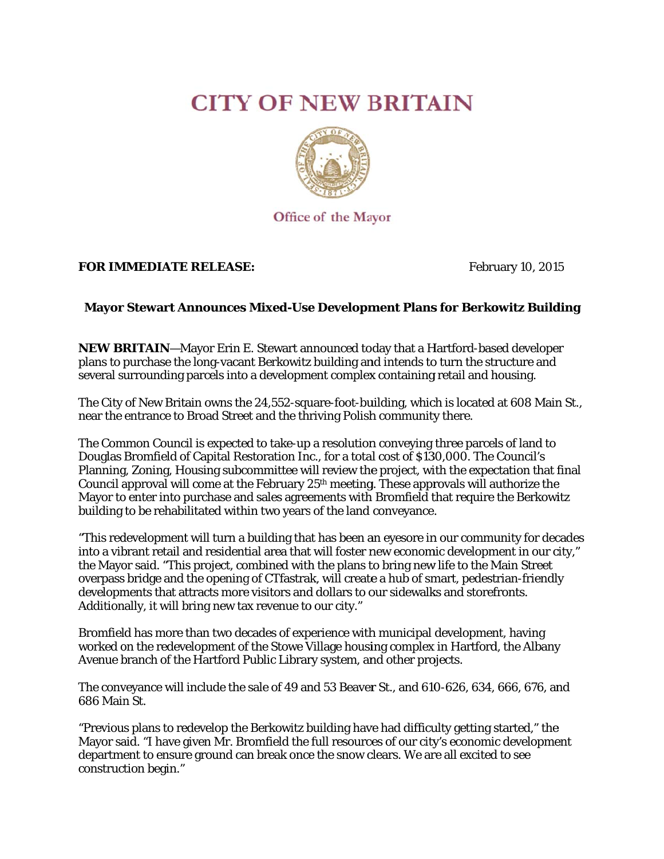## **CITY OF NEW BRITAIN**



Office of the Mayor

## **FOR IM MMEDIATE E RELEASE E:**

Febru uary 10, 2015 5

## **Mayor Stewart A Announces Mixed-Use e Developm ment Plans s for Berko owitz Build ding**

**NEW BRITAIN–Mayor Erin E. Stewart announced today that a Hartford-based developer** plans to purchase the long-vacant Berkowitz building and intends to turn the structure and several surrounding parcels into a development complex containing retail and housing.

The City of New Britain owns the 24,552-square-foot-building, which is located at 608 Main St., near the entrance to Broad Street and the thriving Polish community there.

The Common Council is expected to take-up a resolution conveying three parcels of land to Douglas Bromfield of Capital Restoration Inc., for a total cost of \$130,000. The Council's Planning, Zoning, Housing subcommittee will review the project, with the expectation that final Council approval will come at the February  $25<sup>th</sup>$  meeting. These approvals will authorize the Council approval will come at the February 25<sup>th</sup> meeting. These approvals will authorize the<br>Mayor to enter into purchase and sales agreements with Bromfield that require the Berkowitz building to be rehabilitated within two years of the land conveyance.

"This redevelopment will turn a building that has been an eyesore in our community for decades into a vibrant retail and residential area that will foster new economic development in our city," the Mayor said. "This project, combined with the plans to bring new life to the Main Street overpass bridge and the opening of CTfastrak, will create a hub of smart, pedestrian-friendly developments that attracts more visitors and dollars to our sidewalks and storefronts. Additionally, it will bring new tax revenue to our city." ly<br>y<br>nd

Bromfield has more than two decades of experience with municipal development, having worked on the redevelopment of the Stowe Village housing complex in Hartford, the Albany Avenue branch of the Hartford Public Library system, and other projects.

The conveyance will include the sale of 49 and 53 Beaver St., and 610-626, 634, 666, 676, an 686 Main n St.

"Previous plans to redevelop the Berkowitz building have had difficulty getting started," the "Previous plans to redevelop the Berkowitz building have had difficulty getting started," the<br>Mayor said. "I have given Mr. Bromfield the full resources of our city's economic development department to ensure ground can break once the snow clears. We are all excited to see construct tion begin."